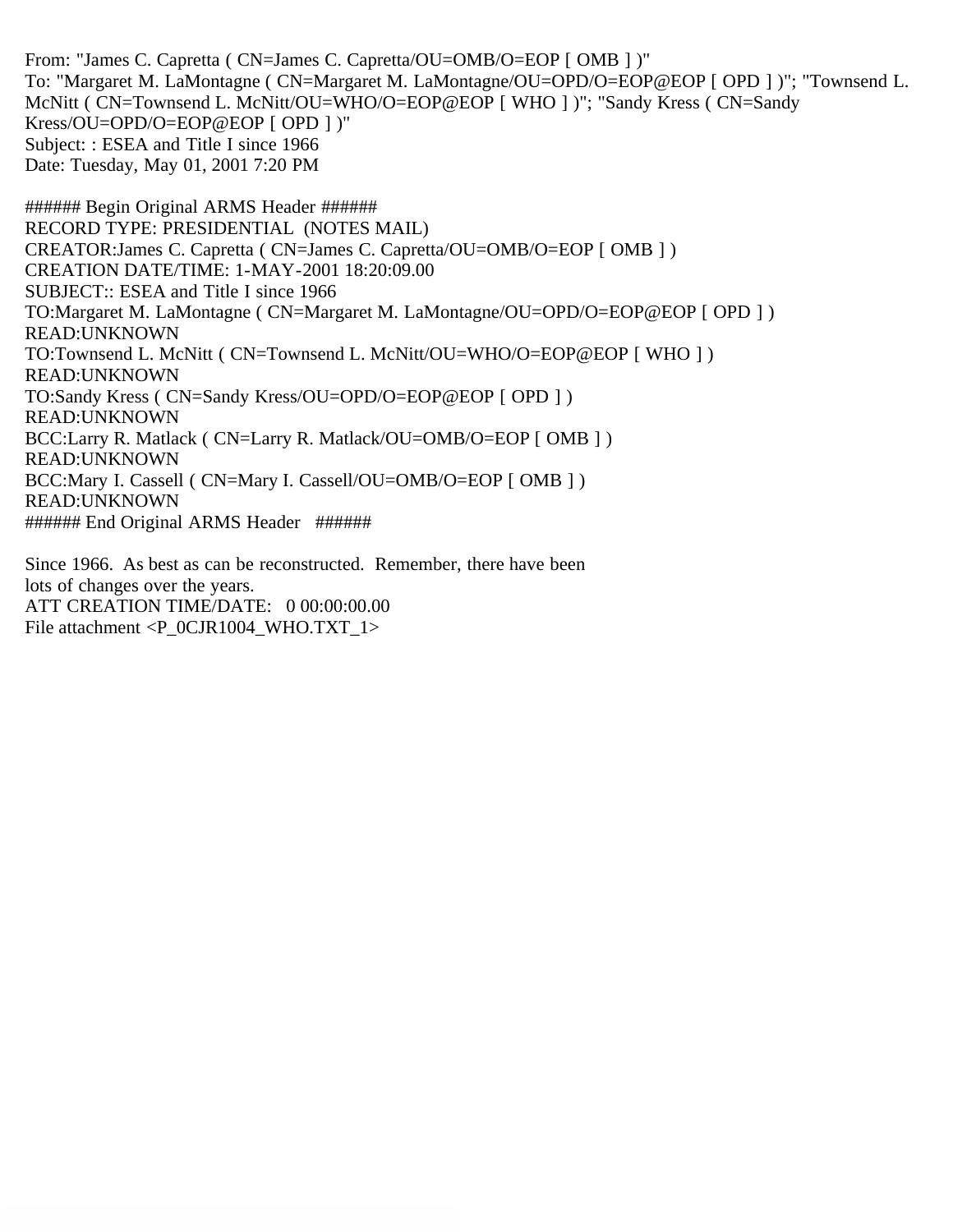From: "James C. Capretta ( CN=James C. Capretta/OU=OMB/O=EOP [ OMB ] )" To: "Margaret M. LaMontagne ( CN=Margaret M. LaMontagne/OU=OPD/O=EOP@EOP [ OPD ] )"; "Townsend L. McNitt ( CN=Townsend L. McNitt/OU=WHO/O=EOP@EOP [ WHO ] )"; "Sandy Kress ( CN=Sandy Kress/OU=OPD/O=EOP@EOP [ OPD ] )" Subject: : ESEA and Title I since 1966 Date: Tuesday, May 01, 2001 7:20 PM

###### Begin Original ARMS Header ###### RECORD TYPE: PRESIDENTIAL (NOTES MAIL) CREATOR:James C. Capretta ( CN=James C. Capretta/OU=OMB/O=EOP [ OMB ] ) CREATION DATE/TIME: 1-MAY-2001 18:20:09.00 SUBJECT:: ESEA and Title I since 1966 TO:Margaret M. LaMontagne ( CN=Margaret M. LaMontagne/OU=OPD/O=EOP@EOP [ OPD ] ) READ:UNKNOWN TO:Townsend L. McNitt ( CN=Townsend L. McNitt/OU=WHO/O=EOP@EOP [ WHO ] ) READ:UNKNOWN TO:Sandy Kress ( CN=Sandy Kress/OU=OPD/O=EOP@EOP [ OPD ] ) READ:UNKNOWN BCC:Larry R. Matlack ( CN=Larry R. Matlack/OU=OMB/O=EOP [ OMB ] ) READ:UNKNOWN BCC:Mary I. Cassell ( CN=Mary I. Cassell/OU=OMB/O=EOP [ OMB ] ) READ:UNKNOWN ###### End Original ARMS Header ######

Since 1966. As best as can be reconstructed. Remember, there have been lots of changes over the years. ATT CREATION TIME/DATE: 0 00:00:00.00 File attachment  $\langle P$  0CJR1004 WHO.TXT 1>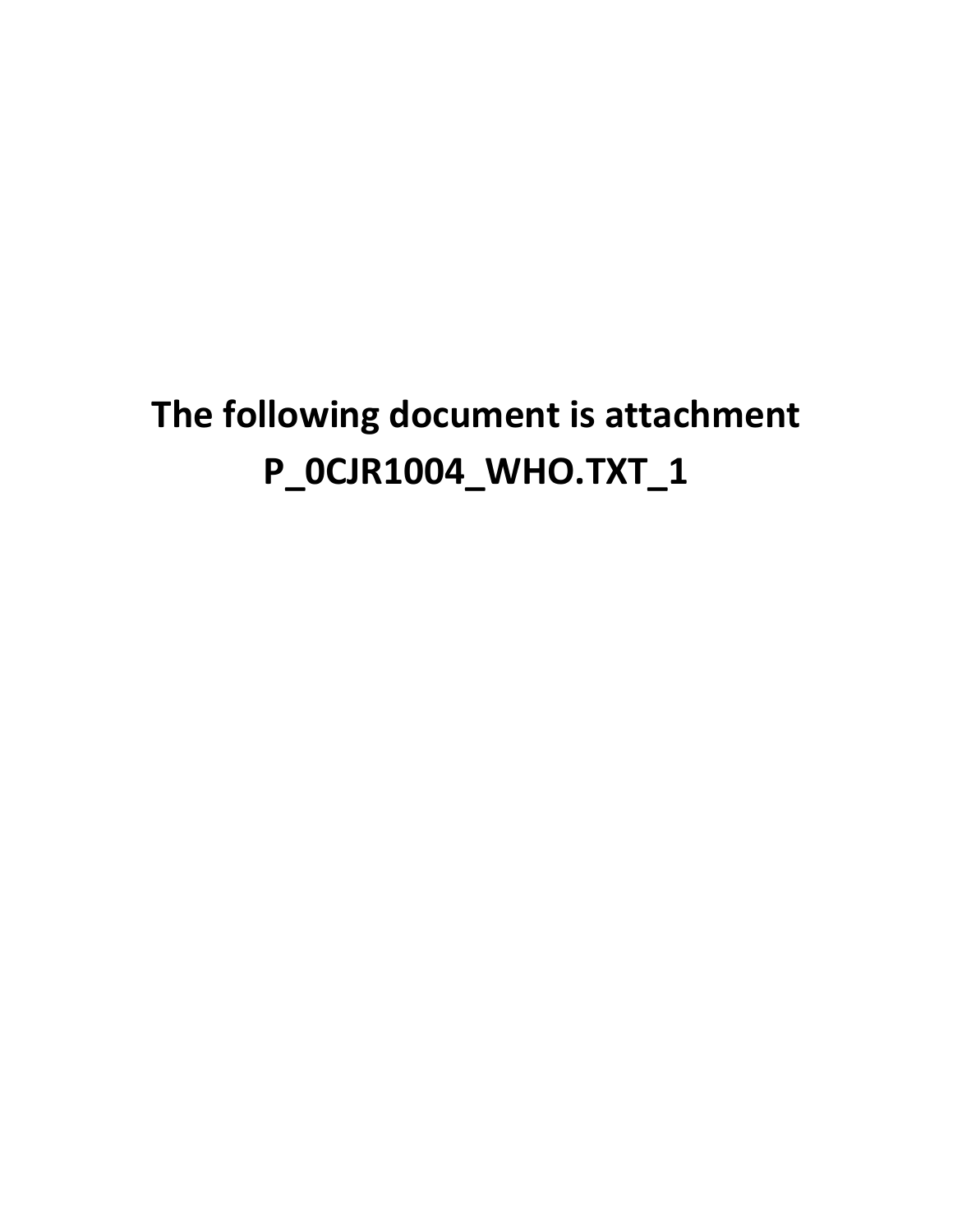## **The following document is attachment P\_0CJR1004\_WHO.TXT\_1**